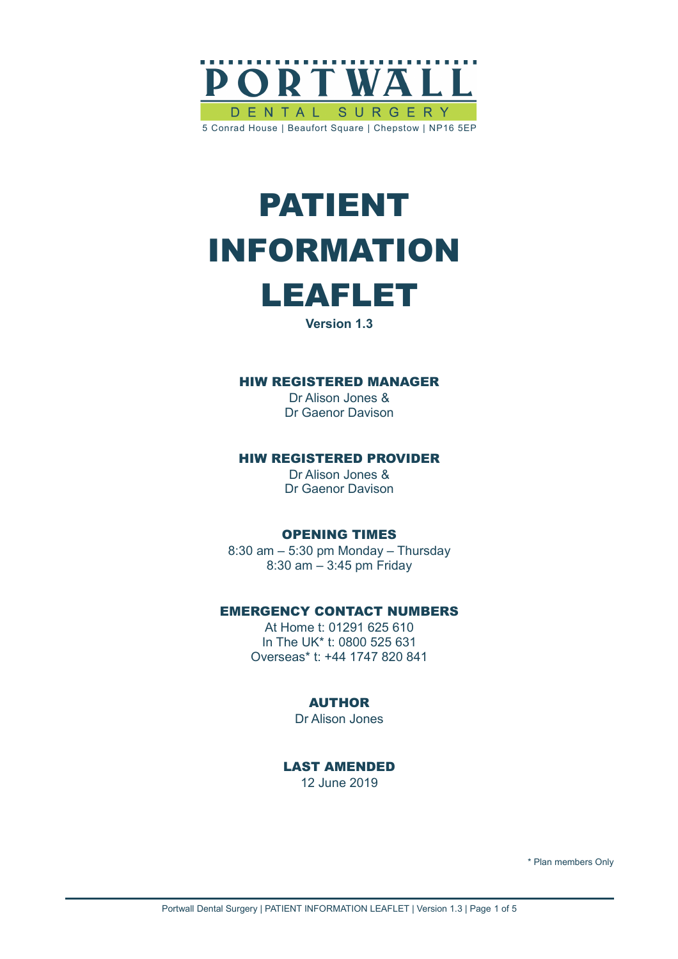

# PATIENT INFORMATION



**Version 1.3**

#### HIW REGISTERED MANAGER

Dr Alison Jones & Dr Gaenor Davison

#### HIW REGISTERED PROVIDER

Dr Alison Jones & Dr Gaenor Davison

#### OPENING TIMES

8:30 am – 5:30 pm Monday – Thursday 8:30 am – 3:45 pm Friday

#### EMERGENCY CONTACT NUMBERS

At Home t: 01291 625 610 In The UK\* t: 0800 525 631 Overseas\* t: +44 1747 820 841

#### AUTHOR

Dr Alison Jones

LAST AMENDED 12 June 2019

\* Plan members Only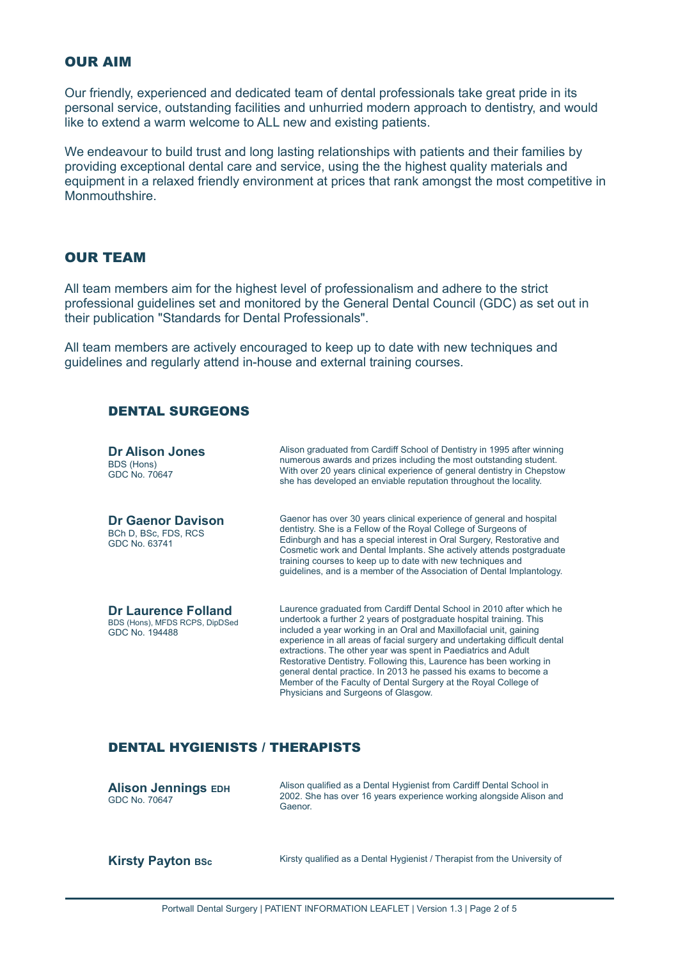#### OUR AIM

Our friendly, experienced and dedicated team of dental professionals take great pride in its personal service, outstanding facilities and unhurried modern approach to dentistry, and would like to extend a warm welcome to ALL new and existing patients.

We endeavour to build trust and long lasting relationships with patients and their families by providing exceptional dental care and service, using the the highest quality materials and equipment in a relaxed friendly environment at prices that rank amongst the most competitive in Monmouthshire.

# OUR TEAM

All team members aim for the highest level of professionalism and adhere to the strict professional guidelines set and monitored by the General Dental Council (GDC) as set out in their publication "Standards for Dental Professionals".

All team members are actively encouraged to keep up to date with new techniques and guidelines and regularly attend in-house and external training courses.

#### DENTAL SURGEONS

| <b>Dr Alison Jones</b><br>BDS (Hons)<br>GDC No. 70647                          | Alison graduated from Cardiff School of Dentistry in 1995 after winning<br>numerous awards and prizes including the most outstanding student.<br>With over 20 years clinical experience of general dentistry in Chepstow<br>she has developed an enviable reputation throughout the locality.                                                                                                                                                                                                                                                                                                                          |
|--------------------------------------------------------------------------------|------------------------------------------------------------------------------------------------------------------------------------------------------------------------------------------------------------------------------------------------------------------------------------------------------------------------------------------------------------------------------------------------------------------------------------------------------------------------------------------------------------------------------------------------------------------------------------------------------------------------|
| <b>Dr Gaenor Davison</b><br>BCh D, BSc, FDS, RCS<br>GDC No. 63741              | Gaenor has over 30 years clinical experience of general and hospital<br>dentistry. She is a Fellow of the Royal College of Surgeons of<br>Edinburgh and has a special interest in Oral Surgery, Restorative and<br>Cosmetic work and Dental Implants. She actively attends postgraduate<br>training courses to keep up to date with new techniques and<br>quidelines, and is a member of the Association of Dental Implantology.                                                                                                                                                                                       |
| <b>Dr Laurence Folland</b><br>BDS (Hons), MFDS RCPS, DipDSed<br>GDC No. 194488 | Laurence graduated from Cardiff Dental School in 2010 after which he<br>undertook a further 2 years of postgraduate hospital training. This<br>included a year working in an Oral and Maxillofacial unit, gaining<br>experience in all areas of facial surgery and undertaking difficult dental<br>extractions. The other year was spent in Paediatrics and Adult<br>Restorative Dentistry. Following this, Laurence has been working in<br>general dental practice. In 2013 he passed his exams to become a<br>Member of the Faculty of Dental Surgery at the Royal College of<br>Physicians and Surgeons of Glasgow. |

# DENTAL HYGIENISTS / THERAPISTS

| <b>Alison Jennings EDH</b><br>GDC No. 70647 | Alison qualified as a Dental Hygienist from Cardiff Dental School in<br>2002. She has over 16 years experience working alongside Alison and<br>Gaenor. |
|---------------------------------------------|--------------------------------------------------------------------------------------------------------------------------------------------------------|
| <b>Kirsty Payton BSc</b>                    | Kirsty qualified as a Dental Hygienist / Therapist from the University of                                                                              |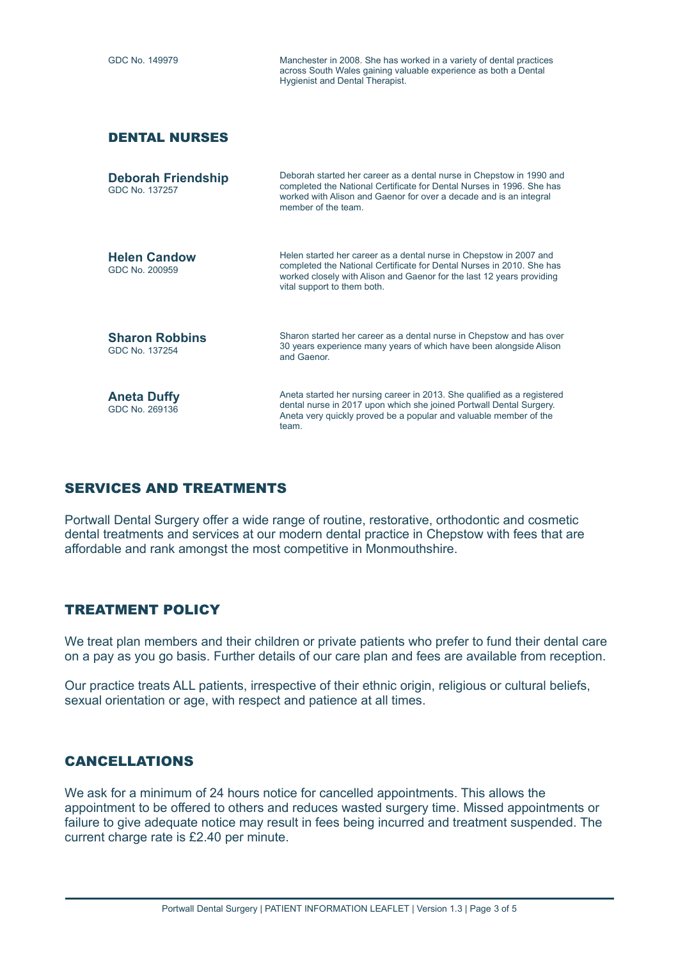| GDC No. 149979                              | Manchester in 2008. She has worked in a variety of dental practices<br>across South Wales gaining valuable experience as both a Dental<br><b>Hygienist and Dental Therapist.</b>                                                                    |
|---------------------------------------------|-----------------------------------------------------------------------------------------------------------------------------------------------------------------------------------------------------------------------------------------------------|
| <b>DENTAL NURSES</b>                        |                                                                                                                                                                                                                                                     |
| <b>Deborah Friendship</b><br>GDC No. 137257 | Deborah started her career as a dental nurse in Chepstow in 1990 and<br>completed the National Certificate for Dental Nurses in 1996. She has<br>worked with Alison and Gaenor for over a decade and is an integral<br>member of the team           |
| <b>Helen Candow</b><br>GDC No. 200959       | Helen started her career as a dental nurse in Chepstow in 2007 and<br>completed the National Certificate for Dental Nurses in 2010. She has<br>worked closely with Alison and Gaenor for the last 12 years providing<br>vital support to them both. |
| <b>Sharon Robbins</b><br>GDC No. 137254     | Sharon started her career as a dental nurse in Chepstow and has over<br>30 years experience many years of which have been alongside Alison<br>and Gaenor.                                                                                           |
| <b>Aneta Duffy</b><br>GDC No. 269136        | Aneta started her nursing career in 2013. She qualified as a registered<br>dental nurse in 2017 upon which she joined Portwall Dental Surgery.<br>Aneta very quickly proved be a popular and valuable member of the<br>team.                        |

# SERVICES AND TREATMENTS

Portwall Dental Surgery offer a wide range of routine, restorative, orthodontic and cosmetic dental treatments and services at our modern dental practice in Chepstow with fees that are affordable and rank amongst the most competitive in Monmouthshire.

# TREATMENT POLICY

We treat plan members and their children or private patients who prefer to fund their dental care on a pay as you go basis. Further details of our care plan and fees are available from reception.

Our practice treats ALL patients, irrespective of their ethnic origin, religious or cultural beliefs, sexual orientation or age, with respect and patience at all times.

# CANCELLATIONS

We ask for a minimum of 24 hours notice for cancelled appointments. This allows the appointment to be offered to others and reduces wasted surgery time. Missed appointments or failure to give adequate notice may result in fees being incurred and treatment suspended. The current charge rate is £2.40 per minute.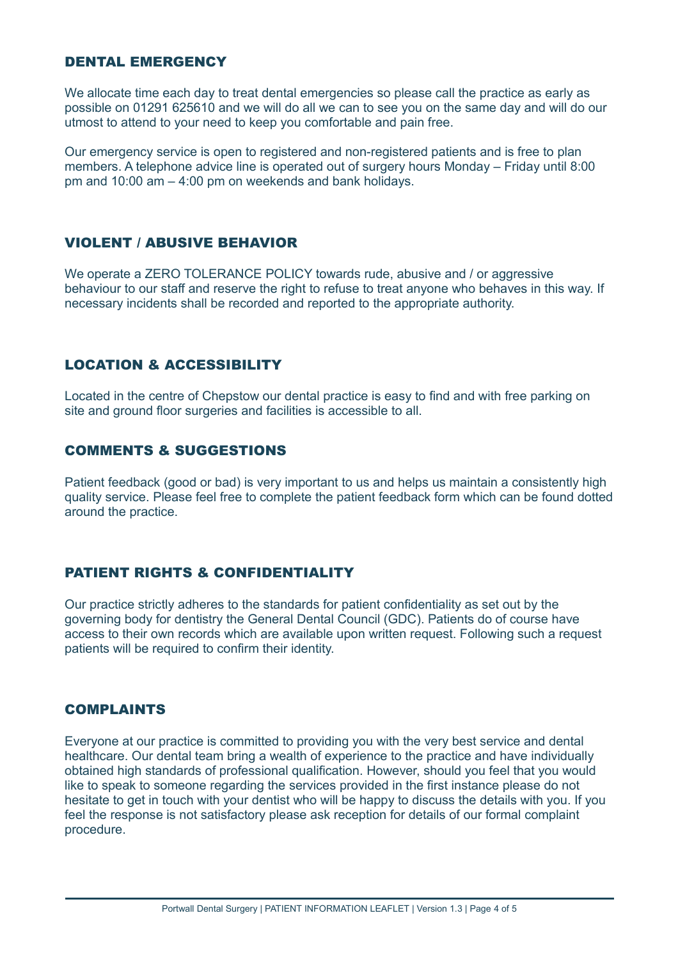# DENTAL EMERGENCY

We allocate time each day to treat dental emergencies so please call the practice as early as possible on 01291 625610 and we will do all we can to see you on the same day and will do our utmost to attend to your need to keep you comfortable and pain free.

Our emergency service is open to registered and non-registered patients and is free to plan members. A telephone advice line is operated out of surgery hours Monday – Friday until 8:00 pm and 10:00 am – 4:00 pm on weekends and bank holidays.

# VIOLENT / ABUSIVE BEHAVIOR

We operate a ZERO TOLERANCE POLICY towards rude, abusive and / or aggressive behaviour to our staff and reserve the right to refuse to treat anyone who behaves in this way. If necessary incidents shall be recorded and reported to the appropriate authority.

# LOCATION & ACCESSIBILITY

Located in the centre of Chepstow our dental practice is easy to find and with free parking on site and ground floor surgeries and facilities is accessible to all.

#### COMMENTS & SUGGESTIONS

Patient feedback (good or bad) is very important to us and helps us maintain a consistently high quality service. Please feel free to complete the patient feedback form which can be found dotted around the practice.

# PATIENT RIGHTS & CONFIDENTIALITY

Our practice strictly adheres to the standards for patient confidentiality as set out by the governing body for dentistry the General Dental Council (GDC). Patients do of course have access to their own records which are available upon written request. Following such a request patients will be required to confirm their identity.

#### COMPLAINTS

Everyone at our practice is committed to providing you with the very best service and dental healthcare. Our dental team bring a wealth of experience to the practice and have individually obtained high standards of professional qualification. However, should you feel that you would like to speak to someone regarding the services provided in the first instance please do not hesitate to get in touch with your dentist who will be happy to discuss the details with you. If you feel the response is not satisfactory please ask reception for details of our formal complaint procedure.